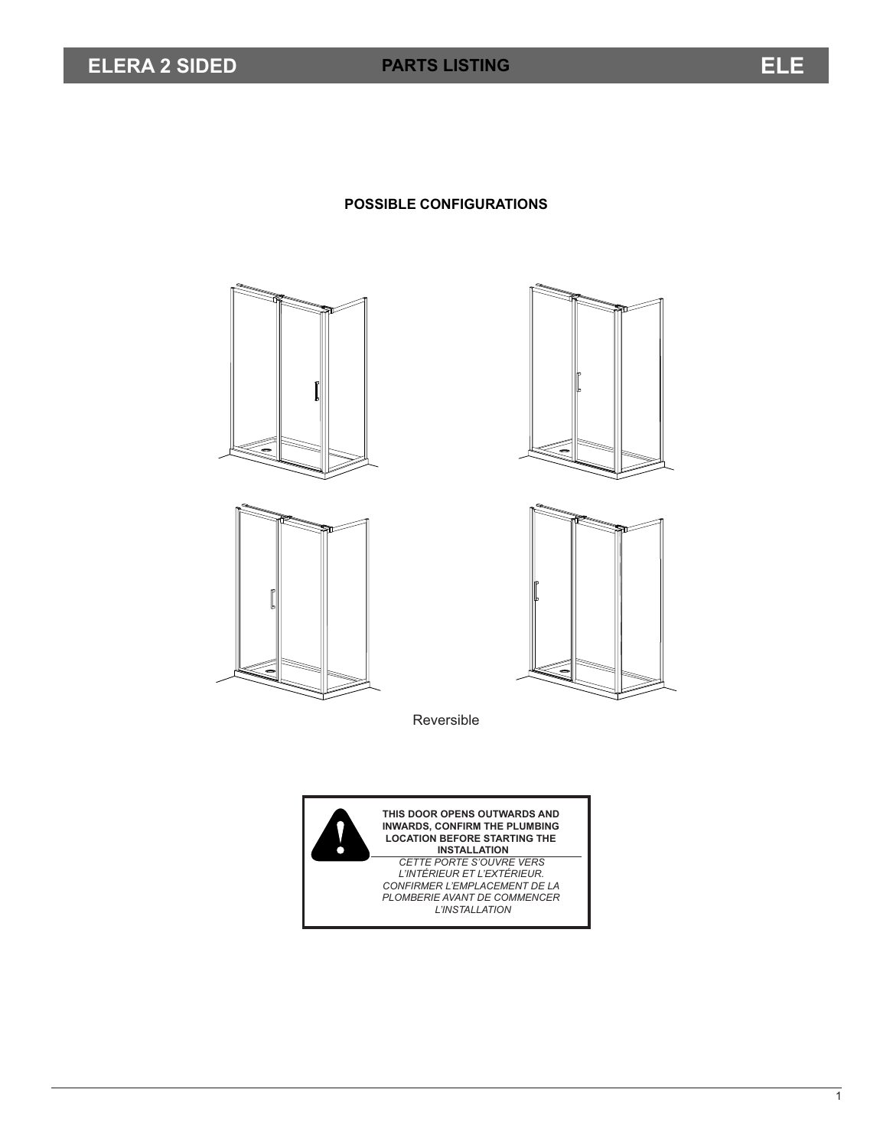## **POSSIBLE CONFIGURATIONS**









Reversible

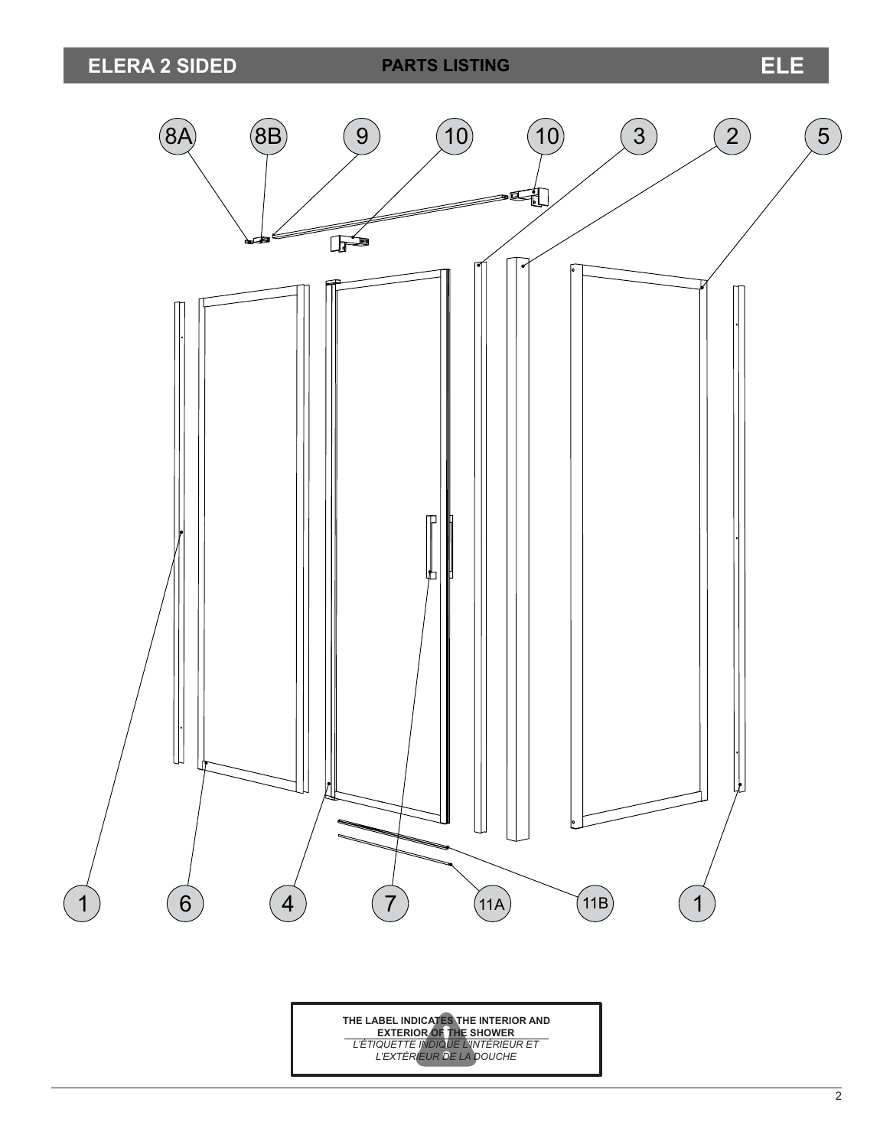

**THE LABEL INDICATES THE INTERIOR AND EXTERIOR OF THE SHOWER** *L'ÉTIQUETTE INDIQUE L'INTÉRIEUR ET L'EXTÉRIEUR DE LA DOUCHE*